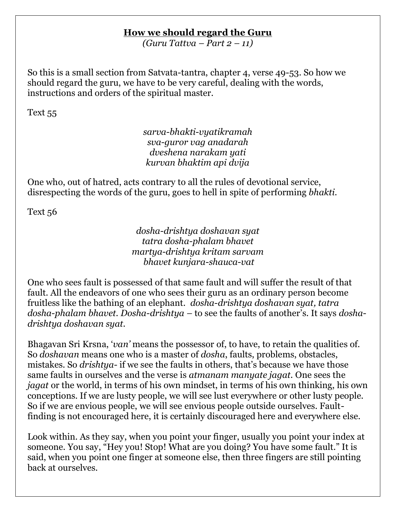## **How we should regard the Guru**

*(Guru Tattva – Part 2 – 11)*

So this is a small section from Satvata-tantra, chapter 4, verse 49-53. So how we should regard the guru, we have to be very careful, dealing with the words, instructions and orders of the spiritual master.

Text 55

*sarva-bhakti-vyatikramah sva-guror vag anadarah dveshena narakam yati kurvan bhaktim api dvija*

One who, out of hatred, acts contrary to all the rules of devotional service, disrespecting the words of the guru, goes to hell in spite of performing *bhakti*.

Text 56

*dosha-drishtya doshavan syat tatra dosha-phalam bhavet martya-drishtya kritam sarvam bhavet kunjara-shauca-vat*

One who sees fault is possessed of that same fault and will suffer the result of that fault. All the endeavors of one who sees their guru as an ordinary person become fruitless like the bathing of an elephant. *dosha-drishtya doshavan syat, tatra dosha-phalam bhavet. Dosha-drishtya –* to see the faults of another"s. It says *doshadrishtya doshavan syat.* 

Bhagavan Sri Krsna, "*van'* means the possessor of, to have, to retain the qualities of. So *doshavan* means one who is a master of *dosha*, faults, problems, obstacles, mistakes. So *drishtya*- if we see the faults in others, that's because we have those same faults in ourselves and the verse is *atmanam manyate jagat.* One sees the *jagat* or the world, in terms of his own mindset, in terms of his own thinking, his own conceptions. If we are lusty people, we will see lust everywhere or other lusty people. So if we are envious people, we will see envious people outside ourselves. Faultfinding is not encouraged here, it is certainly discouraged here and everywhere else.

Look within. As they say, when you point your finger, usually you point your index at someone. You say, "Hey you! Stop! What are you doing? You have some fault." It is said, when you point one finger at someone else, then three fingers are still pointing back at ourselves.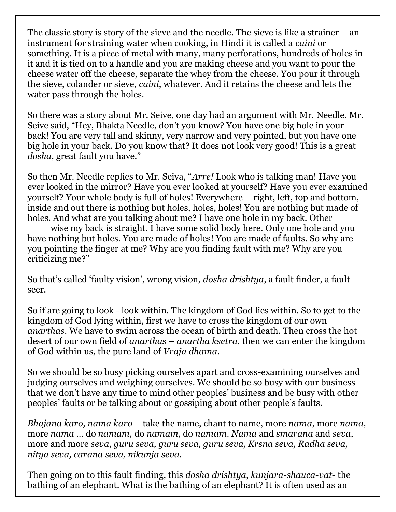The classic story is story of the sieve and the needle. The sieve is like a strainer – an instrument for straining water when cooking, in Hindi it is called a *caini* or something. It is a piece of metal with many, many perforations, hundreds of holes in it and it is tied on to a handle and you are making cheese and you want to pour the cheese water off the cheese, separate the whey from the cheese. You pour it through the sieve, colander or sieve, *caini*, whatever. And it retains the cheese and lets the water pass through the holes.

So there was a story about Mr. Seive, one day had an argument with Mr. Needle. Mr. Seive said, "Hey, Bhakta Needle, don"t you know? You have one big hole in your back! You are very tall and skinny, very narrow and very pointed, but you have one big hole in your back. Do you know that? It does not look very good! This is a great *dosha*, great fault you have."

So then Mr. Needle replies to Mr. Seiva, "*Arre!* Look who is talking man! Have you ever looked in the mirror? Have you ever looked at yourself? Have you ever examined yourself? Your whole body is full of holes! Everywhere – right, left, top and bottom, inside and out there is nothing but holes, holes, holes! You are nothing but made of holes. And what are you talking about me? I have one hole in my back. Other

wise my back is straight. I have some solid body here. Only one hole and you have nothing but holes. You are made of holes! You are made of faults. So why are you pointing the finger at me? Why are you finding fault with me? Why are you criticizing me?"

So that"s called "faulty vision", wrong vision, *dosha drishtya*, a fault finder, a fault seer.

So if are going to look - look within. The kingdom of God lies within. So to get to the kingdom of God lying within, first we have to cross the kingdom of our own *anarthas*. We have to swim across the ocean of birth and death. Then cross the hot desert of our own field of *anarthas* – *anartha ksetra*, then we can enter the kingdom of God within us, the pure land of *Vraja dhama*.

So we should be so busy picking ourselves apart and cross-examining ourselves and judging ourselves and weighing ourselves. We should be so busy with our business that we don"t have any time to mind other peoples" business and be busy with other peoples" faults or be talking about or gossiping about other people"s faults.

*Bhajana karo, nama karo* – take the name, chant to name, more *nama*, more *nama,*  more *nama* … do *namam*, do *namam,* do *namam*. *Nama* and *smarana* and *seva*, more and more *seva*, *guru seva, guru seva, guru seva, Krsna seva, Radha seva, nitya seva, carana seva, nikunja seva.*

Then going on to this fault finding, this *dosha drishtya*, *kunjara-shauca-vat-* the bathing of an elephant. What is the bathing of an elephant? It is often used as an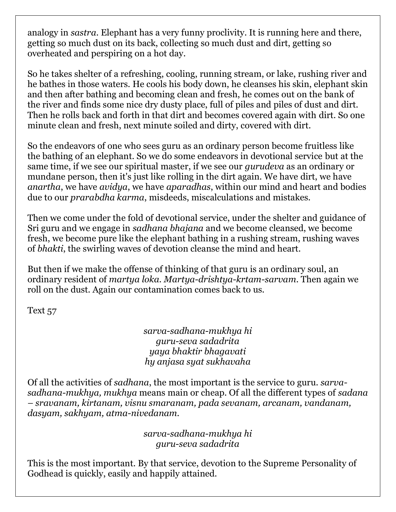analogy in *sastra*. Elephant has a very funny proclivity. It is running here and there, getting so much dust on its back, collecting so much dust and dirt, getting so overheated and perspiring on a hot day.

So he takes shelter of a refreshing, cooling, running stream, or lake, rushing river and he bathes in those waters. He cools his body down, he cleanses his skin, elephant skin and then after bathing and becoming clean and fresh, he comes out on the bank of the river and finds some nice dry dusty place, full of piles and piles of dust and dirt. Then he rolls back and forth in that dirt and becomes covered again with dirt. So one minute clean and fresh, next minute soiled and dirty, covered with dirt.

So the endeavors of one who sees guru as an ordinary person become fruitless like the bathing of an elephant. So we do some endeavors in devotional service but at the same time, if we see our spiritual master, if we see our *gurudeva* as an ordinary or mundane person, then it's just like rolling in the dirt again. We have dirt, we have *anartha*, we have *avidya*, we have *aparadhas*, within our mind and heart and bodies due to our *prarabdha karma*, misdeeds, miscalculations and mistakes.

Then we come under the fold of devotional service, under the shelter and guidance of Sri guru and we engage in *sadhana bhajana* and we become cleansed, we become fresh, we become pure like the elephant bathing in a rushing stream, rushing waves of *bhakti*, the swirling waves of devotion cleanse the mind and heart.

But then if we make the offense of thinking of that guru is an ordinary soul, an ordinary resident of *martya loka. Martya-drishtya-krtam-sarvam*. Then again we roll on the dust. Again our contamination comes back to us.

Text 57

*sarva-sadhana-mukhya hi guru-seva sadadrita yaya bhaktir bhagavati hy anjasa syat sukhavaha*

Of all the activities of *sadhana*, the most important is the service to guru. *sarvasadhana-mukhya, mukhya* means main or cheap. Of all the different types of *sadana – sravanam, kirtanam, visnu smaranam, pada sevanam, arcanam, vandanam, dasyam, sakhyam, atma-nivedanam.*

> *sarva-sadhana-mukhya hi guru-seva sadadrita*

This is the most important. By that service, devotion to the Supreme Personality of Godhead is quickly, easily and happily attained.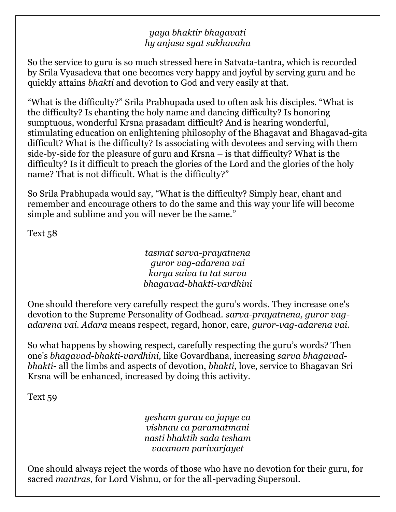## *yaya bhaktir bhagavati hy anjasa syat sukhavaha*

So the service to guru is so much stressed here in Satvata-tantra, which is recorded by Srila Vyasadeva that one becomes very happy and joyful by serving guru and he quickly attains *bhakti* and devotion to God and very easily at that.

"What is the difficulty?" Srila Prabhupada used to often ask his disciples. "What is the difficulty? Is chanting the holy name and dancing difficulty? Is honoring sumptuous, wonderful Krsna prasadam difficult? And is hearing wonderful, stimulating education on enlightening philosophy of the Bhagavat and Bhagavad-gita difficult? What is the difficulty? Is associating with devotees and serving with them side-by-side for the pleasure of guru and Krsna – is that difficulty? What is the difficulty? Is it difficult to preach the glories of the Lord and the glories of the holy name? That is not difficult. What is the difficulty?"

So Srila Prabhupada would say, "What is the difficulty? Simply hear, chant and remember and encourage others to do the same and this way your life will become simple and sublime and you will never be the same."

Text 58

## *tasmat sarva-prayatnena guror vag-adarena vai karya saiva tu tat sarva bhagavad-bhakti-vardhini*

One should therefore very carefully respect the guru"s words. They increase one's devotion to the Supreme Personality of Godhead. *sarva-prayatnena, guror vagadarena vai. Adara* means respect, regard, honor, care, *guror-vag-adarena vai.*

So what happens by showing respect, carefully respecting the guru's words? Then one's *bhagavad-bhakti-vardhini,* like Govardhana, increasing *sarva bhagavadbhakti-* all the limbs and aspects of devotion, *bhakti*, love, service to Bhagavan Sri Krsna will be enhanced, increased by doing this activity.

Text 59

*yesham gurau ca japye ca vishnau ca paramatmani nasti bhaktih sada tesham vacanam parivarjayet*

One should always reject the words of those who have no devotion for their guru, for sacred *mantras*, for Lord Vishnu, or for the all-pervading Supersoul.